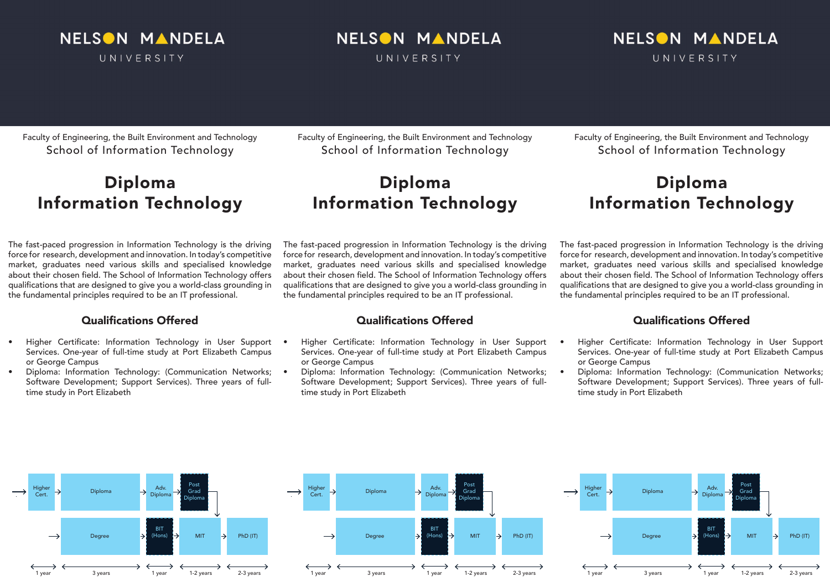

# NELSON MANDELA

UNIVERSITY

## NELSON MANDELA UNIVERSITY

#### Faculty of Engineering, the Built Environment and Technology School of Information Technology

## Diploma Information Technology

The fast-paced progression in Information Technology is the driving force for research, development and innovation. In today's competitive market, graduates need various skills and specialised knowledge about their chosen field. The School of Information Technology offers qualifications that are designed to give you a world-class grounding in the fundamental principles required to be an IT professional.

## Qualifications Offered

- Higher Certificate: Information Technology in User Support Services. One-year of full-time study at Port Elizabeth Campus or George Campus
- Diploma: Information Technology: (Communication Networks; Software Development; Support Services). Three years of fulltime study in Port Elizabeth

Faculty of Engineering, the Built Environment and Technology School of Information Technology

## Diploma Information Technology

The fast-paced progression in Information Technology is the driving force for research, development and innovation. In today's competitive market, graduates need various skills and specialised knowledge about their chosen field. The School of Information Technology offers qualifications that are designed to give you a world-class grounding in the fundamental principles required to be an IT professional.

### Qualifications Offered

- Higher Certificate: Information Technology in User Support Services. One-year of full-time study at Port Elizabeth Campus or George Campus
- Diploma: Information Technology: (Communication Networks; Software Development; Support Services). Three years of fulltime study in Port Elizabeth

Faculty of Engineering, the Built Environment and Technology School of Information Technology

## Diploma Information Technology

The fast-paced progression in Information Technology is the driving force for research, development and innovation. In today's competitive market, graduates need various skills and specialised knowledge about their chosen field. The School of Information Technology offers qualifications that are designed to give you a world-class grounding in the fundamental principles required to be an IT professional.

## Qualifications Offered

- Higher Certificate: Information Technology in User Support Services. One-year of full-time study at Port Elizabeth Campus or George Campus
- Diploma: Information Technology: (Communication Networks; Software Development; Support Services). Three years of fulltime study in Port Elizabeth